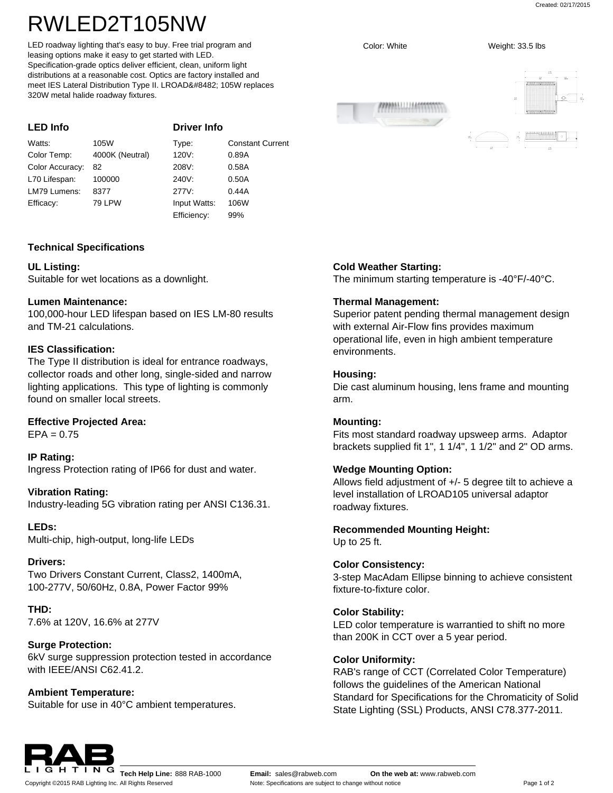Created: 02/17/2015

# RWLED2T105NW

LED roadway lighting that's easy to buy. Free trial program and leasing options make it easy to get started with LED. Specification-grade optics deliver efficient, clean, uniform light distributions at a reasonable cost. Optics are factory installed and meet IES Lateral Distribution Type II. LROAD™ 105W replaces 320W metal halide roadway fixtures.

| <b>LED Info</b> |                 | <b>Driver Info</b> |                         |
|-----------------|-----------------|--------------------|-------------------------|
| Watts:          | 105W            | Type:              | <b>Constant Current</b> |
| Color Temp:     | 4000K (Neutral) | 120V:              | 0.89A                   |
| Color Accuracy: | 82              | 208V:              | 0.58A                   |
| L70 Lifespan:   | 100000          | 240V:              | 0.50A                   |
| LM79 Lumens:    | 8377            | 277V:              | 0.44A                   |
| Efficacy:       | 79 LPW          | Input Watts:       | 106W                    |
|                 |                 | Efficiency:        | 99%                     |

# **Technical Specifications**

# **UL Listing:**

Suitable for wet locations as a downlight.

# **Lumen Maintenance:**

100,000-hour LED lifespan based on IES LM-80 results and TM-21 calculations.

# **IES Classification:**

The Type II distribution is ideal for entrance roadways, collector roads and other long, single-sided and narrow lighting applications. This type of lighting is commonly found on smaller local streets.

# **Effective Projected Area:**

 $EPA = 0.75$ 

# **IP Rating:**

Ingress Protection rating of IP66 for dust and water.

# **Vibration Rating:**

Industry-leading 5G vibration rating per ANSI C136.31.

# **LEDs:**

Multi-chip, high-output, long-life LEDs

#### **Drivers:**

Two Drivers Constant Current, Class2, 1400mA, 100-277V, 50/60Hz, 0.8A, Power Factor 99%

#### **THD:** 7.6% at 120V, 16.6% at 277V

# **Surge Protection:**

6kV surge suppression protection tested in accordance with IFFF/ANSI C62 41.2

# **Ambient Temperature:**

Suitable for use in 40°C ambient temperatures.



# **Cold Weather Starting:**

The minimum starting temperature is -40°F/-40°C.

# **Thermal Management:**

Superior patent pending thermal management design with external Air-Flow fins provides maximum operational life, even in high ambient temperature environments.

# **Housing:**

Die cast aluminum housing, lens frame and mounting arm.

#### **Mounting:**

Fits most standard roadway upsweep arms. Adaptor brackets supplied fit 1", 1 1/4", 1 1/2" and 2" OD arms.

# **Wedge Mounting Option:**

Allows field adjustment of +/- 5 degree tilt to achieve a level installation of LROAD105 universal adaptor roadway fixtures.

# **Recommended Mounting Height:**

Up to 25 ft.

#### **Color Consistency:**

3-step MacAdam Ellipse binning to achieve consistent fixture-to-fixture color.

#### **Color Stability:**

LED color temperature is warrantied to shift no more than 200K in CCT over a 5 year period.

#### **Color Uniformity:**

RAB's range of CCT (Correlated Color Temperature) follows the guidelines of the American National Standard for Specifications for the Chromaticity of Solid State Lighting (SSL) Products, ANSI C78.377-2011.



Color: White Weight: 33.5 lbs